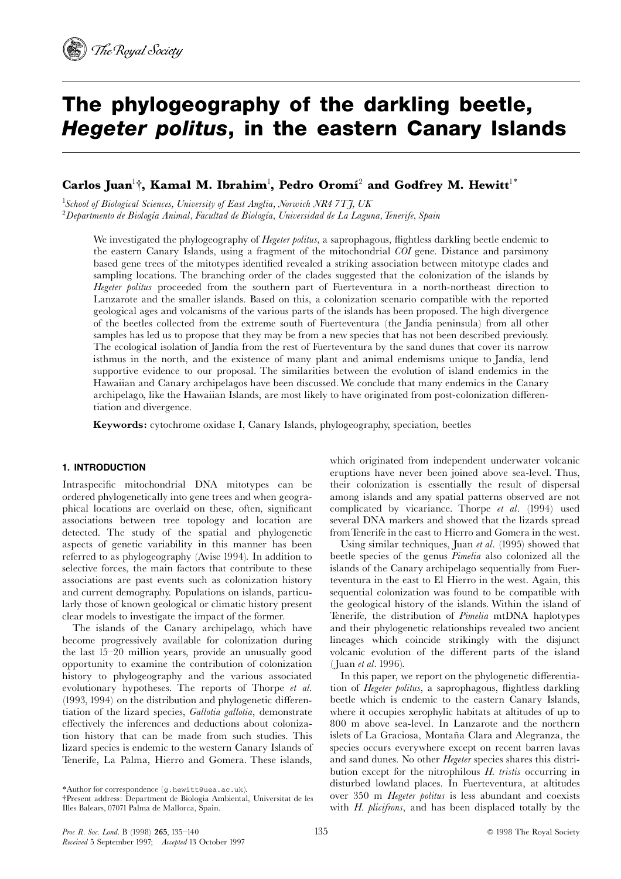# The phylogeography of the darkling beetle, Hegeter politus, in the eastern Canary Islands

# $\bf{C}$ arlos Juan $^{\rm l}$ †, Kamal M. Ibrahim $^{\rm l}$ , Pedro Oromí $^{\rm 2}$  and Godfrey M. Hewitt $^{\rm l}$ \*

<sup>1</sup>School of Biological Sciences, University of East Anglia, Norwich NR4 7TJ, UK  $^2$ Departmento de Biología Animal, Facultad de Biología, Universidad de La Laguna, Tenerife, Spain

We investigated the phylogeography of Hegeter politus, a saprophagous, flightless darkling beetle endemic to the eastern Canary Islands, using a fragment of the mitochondrial COI gene. Distance and parsimony based gene trees of the mitotypes identified revealed a striking association between mitotype clades and sampling locations. The branching order of the clades suggested that the colonization of the islands by Hegeter politus proceeded from the southern part of Fuerteventura in a north-northeast direction to Lanzarote and the smaller islands. Based on this, a colonization scenario compatible with the reported geological ages and volcanisms of the various parts of the islands has been proposed. The high divergence of the beetles collected from the extreme south of Fuerteventura (the Jandía peninsula) from all other samples has led us to propose that they may be from a new species that has not been described previously. The ecological isolation of Jandía from the rest of Fuerteventura by the sand dunes that cover its narrow isthmus in the north, and the existence of many plant and animal endemisms unique to Jandía, lend supportive evidence to our proposal. The similarities between the evolution of island endemics in the Hawaiian and Canary archipelagos have been discussed. We conclude that many endemics in the Canary archipelago, like the Hawaiian Islands, are most likely to have originated from post-colonization differentiation and divergence.

Keywords: cytochrome oxidase I, Canary Islands, phylogeography, speciation, beetles

### 1. INTRODUCTION

Intraspecific mitochondrial DNA mitotypes can be ordered phylogenetically into gene trees and when geographical locations are overlaid on these, often, significant associations between tree topology and location are detected. The study of the spatial and phylogenetic aspects of genetic variability in this manner has been referred to as phylogeography (Avise 1994). In addition to selective forces, the main factors that contribute to these associations are past events such as colonization history and current demography. Populations on islands, particularly those of known geological or climatic history present clear models to investigate the impact of the former.

The islands of the Canary archipelago, which have become progressively available for colonization during the last 15^20 million years, provide an unusually good opportunity to examine the contribution of colonization history to phylogeography and the various associated evolutionary hypotheses. The reports of Thorpe et al.  $(1993, 1994)$  on the distribution and phylogenetic differentiation of the lizard species, Gallotia gallotia, demonstrate effectively the inferences and deductions about colonization history that can be made from such studies. This lizard species is endemic to the western Canary Islands of Tenerife, La Palma, Hierro and Gomera. These islands,

which originated from independent underwater volcanic eruptions have never been joined above sea-level. Thus, their colonization is essentially the result of dispersal among islands and any spatial patterns observed are not complicated by vicariance. Thorpe et al. (1994) used several DNA markers and showed that the lizards spread fromTenerife in the east to Hierro and Gomera in the west.

Using similar techniques, Juan et al. (1995) showed that beetle species of the genus Pimelia also colonized all the islands of the Canary archipelago sequentially from Fuerteventura in the east to El Hierro in the west. Again, this sequential colonization was found to be compatible with the geological history of the islands. Within the island of Tenerife, the distribution of Pimelia mtDNA haplotypes and their phylogenetic relationships revealed two ancient lineages which coincide strikingly with the disjunct volcanic evolution of the different parts of the island (Juan et al. 1996).

In this paper, we report on the phylogenetic differentiation of *Hegeter politus*, a saprophagous, flightless darkling beetle which is endemic to the eastern Canary Islands, where it occupies xerophylic habitats at altitudes of up to 800 m above sea-level. In Lanzarote and the northern islets of La Graciosa, Montaña Clara and Alegranza, the species occurs everywhere except on recent barren lavas and sand dunes. No other *Hegeter* species shares this distribution except for the nitrophilous H. tristis occurring in disturbed lowland places. In Fuerteventura, at altitudes over 350 m Hegeter politus is less abundant and coexists with H. plicifrons, and has been displaced totally by the

<sup>{</sup>Present address: Department de Biologia Ambiental, Universitat de les Illes Balears, 07071 Palma de Mallorca, Spain.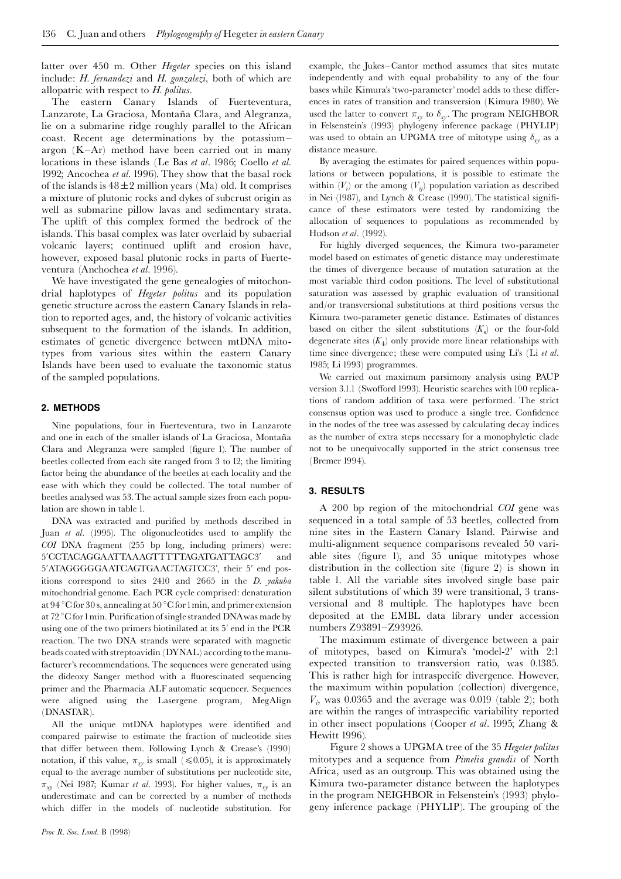latter over 450 m. Other *Hegeter* species on this island include: H. fernandezi and H. gonzalezi, both of which are allopatric with respect to  $H$ . politus.

The eastern Canary Islands of Fuerteventura, Lanzarote, La Graciosa, Montaña Clara, and Alegranza, lie on a submarine ridge roughly parallel to the African coast. Recent age determinations by the potassium^ argon  $(K-Ar)$  method have been carried out in many locations in these islands (Le Bas et al. 1986; Coello et al. 1992; Ancochea et al. 1996). They show that the basal rock of the islands is  $48\pm2$  million years (Ma) old. It comprises a mixture of plutonic rocks and dykes of subcrust origin as well as submarine pillow lavas and sedimentary strata. The uplift of this complex formed the bedrock of the islands. This basal complex was later overlaid by subaerial volcanic layers; continued uplift and erosion have, however, exposed basal plutonic rocks in parts of Fuerteventura (Anchochea et al. 1996).

We have investigated the gene genealogies of mitochondrial haplotypes of Hegeter politus and its population genetic structure across the eastern Canary Islands in relation to reported ages, and, the history of volcanic activities subsequent to the formation of the islands. In addition, estimates of genetic divergence between mtDNA mitotypes from various sites within the eastern Canary Islands have been used to evaluate the taxonomic status of the sampled populations.

#### 2. METHODS

Nine populations, four in Fuerteventura, two in Lanzarote and one in each of the smaller islands of La Graciosa, Montaña Clara and Alegranza were sampled (figure 1). The number of beetles collected from each site ranged from 3 to 12; the limiting factor being the abundance of the beetles at each locality and the ease with which they could be collected. The total number of beetles analysed was 53. The actual sample sizes from each population are shown in table 1.

DNA was extracted and purified by methods described in Juan et al. (1995). The oligonucleotides used to amplify the COI DNA fragment (255 bp long, including primers) were: 5'CCTACAGGAATTAAAGTTTTTAGATGATTAGC3' and 5'ATAGGGGGAATCAGTGAACTAGTCC3', their 5' end positions correspond to sites 2410 and 2665 in the D. yakuba mitochondrial genome. Each PCR cycle comprised: denaturation at 94 °C for 30 s, annealing at 50 °C for 1 min, and primer extension at 72 °C for 1 min. Purification of single stranded DNA was made by using one of the two primers biotinilated at its 5' end in the PCR reaction. The two DNA strands were separated with magnetic beads coated with streptoavidin (DYNAL) according to the manufacturer's recommendations. The sequences were generated using the dideoxy Sanger method with a fluorescinated sequencing primer and the Pharmacia ALF automatic sequencer. Sequences were aligned using the Lasergene program, MegAlign (DNASTAR).

All the unique mtDNA haplotypes were identified and compared pairwise to estimate the fraction of nucleotide sites that differ between them. Following Lynch & Crease's  $(1990)$ notation, if this value,  $\pi_{xy}$  is small ( $\leq 0.05$ ), it is approximately equal to the average number of substitutions per nucleotide site,  $\pi_{xy}$  (Nei 1987; Kumar *et al.* 1993). For higher values,  $\pi_{xy}$  is an underestimate and can be corrected by a number of methods which differ in the models of nucleotide substitution. For example, the Jukes-Cantor method assumes that sites mutate independently and with equal probability to any of the four bases while Kimura's 'two-parameter' model adds to these differences in rates of transition and transversion (Kimura 1980). We used the latter to convert  $\pi_{xy}$  to  $\delta_{xy}$ . The program NEIGHBOR in Felsenstein's (1993) phylogeny inference package (PHYLIP) was used to obtain an UPGMA tree of mitotype using  $\delta_{xy}$  as a distance measure.

By averaging the estimates for paired sequences within populations or between populations, it is possible to estimate the within  $(V_i)$  or the among  $(V_{ij})$  population variation as described in Nei (1987), and Lynch & Crease (1990). The statistical significance of these estimators were tested by randomizing the allocation of sequences to populations as recommended by Hudson et al. (1992).

For highly diverged sequences, the Kimura two-parameter model based on estimates of genetic distance may underestimate the times of divergence because of mutation saturation at the most variable third codon positions. The level of substitutional saturation was assessed by graphic evaluation of transitional and/or transversional substitutions at third positions versus the Kimura two-parameter genetic distance. Estimates of distances based on either the silent substitutions  $(K_s)$  or the four-fold degenerate sites  $(K_4)$  only provide more linear relationships with time since divergence; these were computed using Li's (Li et al. 1985; Li 1993) programmes.

We carried out maximum parsimony analysis using PAUP version 3.1.1 (Swofford 1993). Heuristic searches with 100 replications of random addition of taxa were performed. The strict consensus option was used to produce a single tree. Confidence in the nodes of the tree was assessed by calculating decay indices as the number of extra steps necessary for a monophyletic clade not to be unequivocally supported in the strict consensus tree (Bremer 1994).

#### 3. RESULTS

A 200 bp region of the mitochondrial COI gene was sequenced in a total sample of 53 beetles, collected from nine sites in the Eastern Canary Island. Pairwise and multi-alignment sequence comparisons revealed 50 variable sites (figure 1), and 35 unique mitotypes whose distribution in the collection site (figure 2) is shown in table 1. All the variable sites involved single base pair silent substitutions of which 39 were transitional, 3 transversional and 8 multiple. The haplotypes have been deposited at the EMBL data library under accession numbers Z93891-Z93926.

The maximum estimate of divergence between a pair of mitotypes, based on Kimura's `model-2' with 2:1 expected transition to transversion ratio, was 0.1385. This is rather high for intraspecifc divergence. However, the maximum within population (collection) divergence,  $V_i$ , was 0.0365 and the average was 0.019 (table 2); both are within the ranges of intraspecific variability reported in other insect populations (Cooper et al. 1995; Zhang & Hewitt 1996).

Figure 2 shows a UPGMA tree of the 35 Hegeter politus mitotypes and a sequence from Pimelia grandis of North Africa, used as an outgroup. This was obtained using the Kimura two-parameter distance between the haplotypes in the program NEIGHBOR in Felsenstein's (1993) phylogeny inference package (PHYLIP). The grouping of the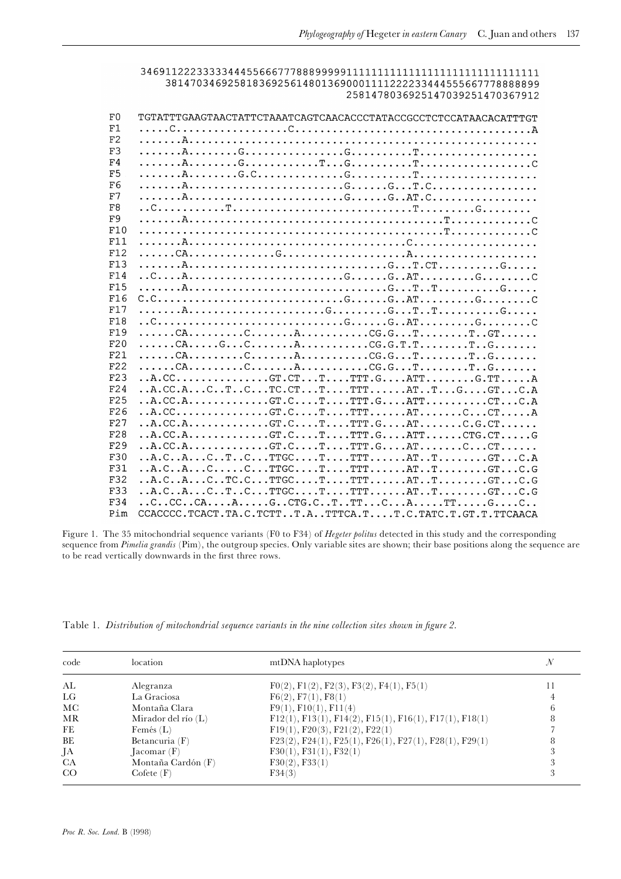381470346925818369256148013690001111222233444555667778888899 2581478036925147039251470367912

| TGTATTTGAAGTAACTATTCTAAATCAGTCAACACCCTATACCGCCTCTCCATAACACATTTGT<br>F1                                                                                                                                                                                                                                                                                                                                                                                                                         |  |
|------------------------------------------------------------------------------------------------------------------------------------------------------------------------------------------------------------------------------------------------------------------------------------------------------------------------------------------------------------------------------------------------------------------------------------------------------------------------------------------------|--|
|                                                                                                                                                                                                                                                                                                                                                                                                                                                                                                |  |
| F2                                                                                                                                                                                                                                                                                                                                                                                                                                                                                             |  |
| F3                                                                                                                                                                                                                                                                                                                                                                                                                                                                                             |  |
| F4                                                                                                                                                                                                                                                                                                                                                                                                                                                                                             |  |
| F5                                                                                                                                                                                                                                                                                                                                                                                                                                                                                             |  |
| F6                                                                                                                                                                                                                                                                                                                                                                                                                                                                                             |  |
| F7                                                                                                                                                                                                                                                                                                                                                                                                                                                                                             |  |
| F8                                                                                                                                                                                                                                                                                                                                                                                                                                                                                             |  |
| F9                                                                                                                                                                                                                                                                                                                                                                                                                                                                                             |  |
| F10                                                                                                                                                                                                                                                                                                                                                                                                                                                                                            |  |
| F11                                                                                                                                                                                                                                                                                                                                                                                                                                                                                            |  |
|                                                                                                                                                                                                                                                                                                                                                                                                                                                                                                |  |
| F12                                                                                                                                                                                                                                                                                                                                                                                                                                                                                            |  |
| F13                                                                                                                                                                                                                                                                                                                                                                                                                                                                                            |  |
| F14                                                                                                                                                                                                                                                                                                                                                                                                                                                                                            |  |
| F <sub>15</sub>                                                                                                                                                                                                                                                                                                                                                                                                                                                                                |  |
| F16                                                                                                                                                                                                                                                                                                                                                                                                                                                                                            |  |
| F17                                                                                                                                                                                                                                                                                                                                                                                                                                                                                            |  |
| F18                                                                                                                                                                                                                                                                                                                                                                                                                                                                                            |  |
| F19                                                                                                                                                                                                                                                                                                                                                                                                                                                                                            |  |
| F20                                                                                                                                                                                                                                                                                                                                                                                                                                                                                            |  |
| $\ldots \ldots \text{CA} \ldots \ldots \text{CA} \ldots \text{CA} \ldots \text{CA} \ldots \text{CA} \ldots \text{CA} \ldots \text{CA} \ldots \text{CA} \ldots \text{CA} \ldots \text{CA} \ldots \text{CA} \ldots \text{CA} \ldots \text{CA} \ldots \text{CA} \ldots \text{CA} \ldots \text{CA} \ldots \text{CA} \ldots \text{CA} \ldots \text{CA} \ldots \text{CA} \ldots \text{CA} \ldots \text{CA} \ldots \text{CA} \ldots \text{CA} \ldots \text{CA} \ldots \text{CA} \ldots \text{$<br>F21 |  |
| F22                                                                                                                                                                                                                                                                                                                                                                                                                                                                                            |  |
| F23                                                                                                                                                                                                                                                                                                                                                                                                                                                                                            |  |
| F24<br>$\ldots$ A.CC.ACTCTC.CTTTTTATTGGTC.A                                                                                                                                                                                                                                                                                                                                                                                                                                                    |  |
| $\ldots$ A.CC.A. $\ldots$ $\ldots$ $\ldots$ . GT.C. $\ldots$ . T. $\ldots$ TTT.G. $\ldots$ ATT. $\ldots$ $\ldots$ . $\ldots$ . CT. $\ldots$ C.A<br>F <sub>25</sub>                                                                                                                                                                                                                                                                                                                             |  |
| $\ldots$ A $\ldots$ $\ldots$ $\ldots$ $\ldots$ $\ldots$ $\ldots$ $\ldots$ $\ldots$ $\ldots$ $\ldots$ $\ldots$ $\ldots$ $\ldots$ $\ldots$ $\ldots$ $\ldots$ $\ldots$ $\ldots$ $\ldots$ $\ldots$ $\ldots$ $\ldots$ $\ldots$ $\ldots$ $\ldots$ $\ldots$ $\ldots$ $\ldots$ $\ldots$ $\ldots$ $\ldots$ $\ldots$ $\ldots$ $\ldots$ $\ldots$ $\ld$<br>F26                                                                                                                                             |  |
| F27                                                                                                                                                                                                                                                                                                                                                                                                                                                                                            |  |
| F28                                                                                                                                                                                                                                                                                                                                                                                                                                                                                            |  |
| $\ldots$ A.CC. A. $\ldots$ GT . C. T TTT . G. AT C. CT<br>F29                                                                                                                                                                                                                                                                                                                                                                                                                                  |  |
| $\ldots$ A.C., A.c., C., T., C., ., TTGC., , T.C., ., TTT., , ., AT., T., ,   GT., C. A<br>F30                                                                                                                                                                                                                                                                                                                                                                                                 |  |
| $\ldots$ $A.C., A \ldots$ $C.\ldots$ $C.\ldots$ $TTGC.\ldots$ $T.\ldots$ $T.\ldots$ $T.\ldots$ $T.\ldots$ $T.\ldots$ $GT.\ldots$ $CG$<br>F31                                                                                                                                                                                                                                                                                                                                                   |  |
| $\ldots$ A.CACTC.CTTGCTTTTATTGTC.G<br>F32                                                                                                                                                                                                                                                                                                                                                                                                                                                      |  |
| $\ldots$ A.CACTCTTGCTTTTATTGTC.G<br>F33                                                                                                                                                                                                                                                                                                                                                                                                                                                        |  |
| $\ldots$ CCCCAAGCTG.CTTTCATTGC<br>F34                                                                                                                                                                                                                                                                                                                                                                                                                                                          |  |
| CCACCCC.TCACT.TA.C.TCTTT.ATTTCA.TT.C.TATC.T.GT.T.TTCAACA<br>Pim                                                                                                                                                                                                                                                                                                                                                                                                                                |  |

Figure 1. The 35 mitochondrial sequence variants (F0 to F34) of Hegeter politus detected in this study and the corresponding sequence from Pimelia grandis (Pim), the outgroup species. Only variable sites are shown; their base positions along the sequence are to be read vertically downwards in the first three rows.

Table 1. Distribution of mitochondrial sequence variants in the nine collection sites shown in figure 2.

| code | location              | mtDNA haplotypes                                         | N |  |
|------|-----------------------|----------------------------------------------------------|---|--|
| AL   | Alegranza             | $F0(2), F1(2), F2(3), F3(2), F4(1), F5(1)$               |   |  |
| LG   | La Graciosa           | F6(2), F7(1), F8(1)                                      |   |  |
| MС   | Montaña Clara         | F9(1), F10(1), F11(4)                                    |   |  |
| MR   | Mirador del río $(L)$ | $F12(1), F13(1), F14(2), F15(1), F16(1), F17(1), F18(1)$ |   |  |
| FE   | Femés $(L)$           | F19(1), F20(3), F21(2), F22(1)                           |   |  |
| BE   | Betancuria $(F)$      | $F23(2), F24(1), F25(1), F26(1), F27(1), F28(1), F29(1)$ |   |  |
| JA   | Jacomar(F)            | F30(1), F31(1), F32(1)                                   |   |  |
| CA   | Montaña Cardón (F)    | F30(2), F33(1)                                           |   |  |
| CO   | Cof (F)               | F34(3)                                                   |   |  |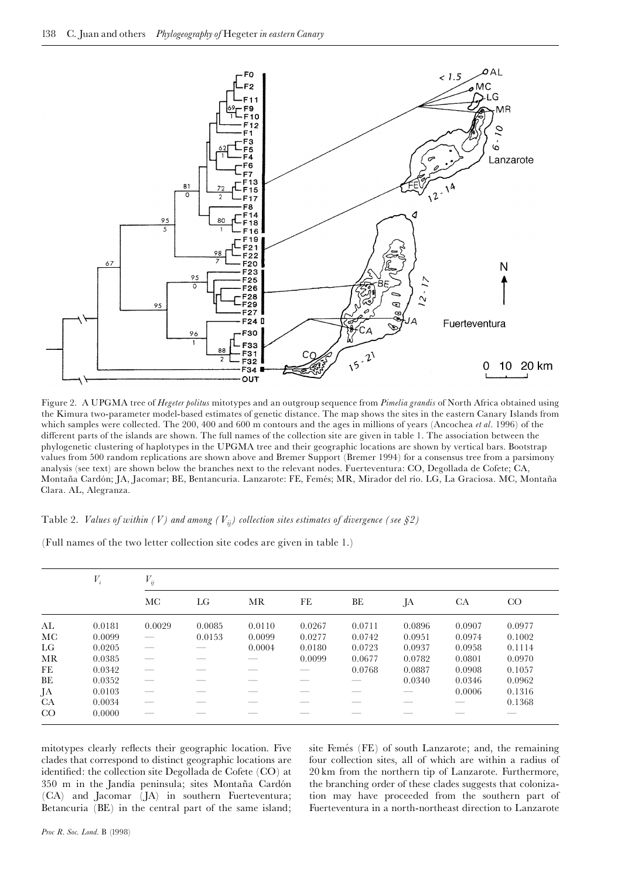

Figure 2. A UPGMA tree of Hegeter politus mitotypes and an outgroup sequence from Pimelia grandis of North Africa obtained using the Kimura two-parameter model-based estimates of genetic distance. The map shows the sites in the eastern Canary Islands from which samples were collected. The 200, 400 and 600 m contours and the ages in millions of years (Ancochea et al. 1996) of the different parts of the islands are shown. The full names of the collection site are given in table 1. The association between the phylogenetic clustering of haplotypes in the UPGMA tree and their geographic locations are shown by vertical bars. Bootstrap values from 500 random replications are shown above and Bremer Support (Bremer 1994) for a consensus tree from a parsimony analysis (see text) are shown below the branches next to the relevant nodes. Fuerteventura: CO, Degollada de Cofete; CA, Montaña Cardón; JA, Jacomar; BE, Bentancuria. Lanzarote: FE, Femés; MR, Mirador del río. LG, La Graciosa. MC, Montaña Clara. AL, Alegranza.

Table 2. Values of within (V) and among ( $V_{ij}$ ) collection sites estimates of divergence (see §2)

(Full names of the two letter collection site codes are given in table 1.)

|    | $V_i$  | $V_{ij}$ |        |        |        |        |        |           |        |
|----|--------|----------|--------|--------|--------|--------|--------|-----------|--------|
|    |        | МC       | LG     | MR     | FE     | ВE     | JA     | <b>CA</b> | CO     |
| AL | 0.0181 | 0.0029   | 0.0085 | 0.0110 | 0.0267 | 0.0711 | 0.0896 | 0.0907    | 0.0977 |
| МC | 0.0099 |          | 0.0153 | 0.0099 | 0.0277 | 0.0742 | 0.0951 | 0.0974    | 0.1002 |
| LG | 0.0205 |          |        | 0.0004 | 0.0180 | 0.0723 | 0.0937 | 0.0958    | 0.1114 |
| MR | 0.0385 |          |        |        | 0.0099 | 0.0677 | 0.0782 | 0.0801    | 0.0970 |
| FE | 0.0342 |          |        |        |        | 0.0768 | 0.0887 | 0.0908    | 0.1057 |
| BE | 0.0352 |          |        |        |        |        | 0.0340 | 0.0346    | 0.0962 |
| JA | 0.0103 |          |        |        |        |        |        | 0.0006    | 0.1316 |
| CA | 0.0034 |          |        |        |        |        |        |           | 0.1368 |
| CO | 0.0000 |          |        |        |        |        |        |           |        |

mitotypes clearly reflects their geographic location. Five clades that correspond to distinct geographic locations are identified: the collection site Degollada de Cofete (CO) at 350 m in the Jandía peninsula; sites Montaña Cardón (CA) and Jacomar (JA) in southern Fuerteventura; Betancuria (BE) in the central part of the same island; site Femés (FE) of south Lanzarote; and, the remaining four collection sites, all of which are within a radius of 20 km from the northern tip of Lanzarote. Furthermore, the branching order of these clades suggests that colonization may have proceeded from the southern part of Fuerteventura in a north-northeast direction to Lanzarote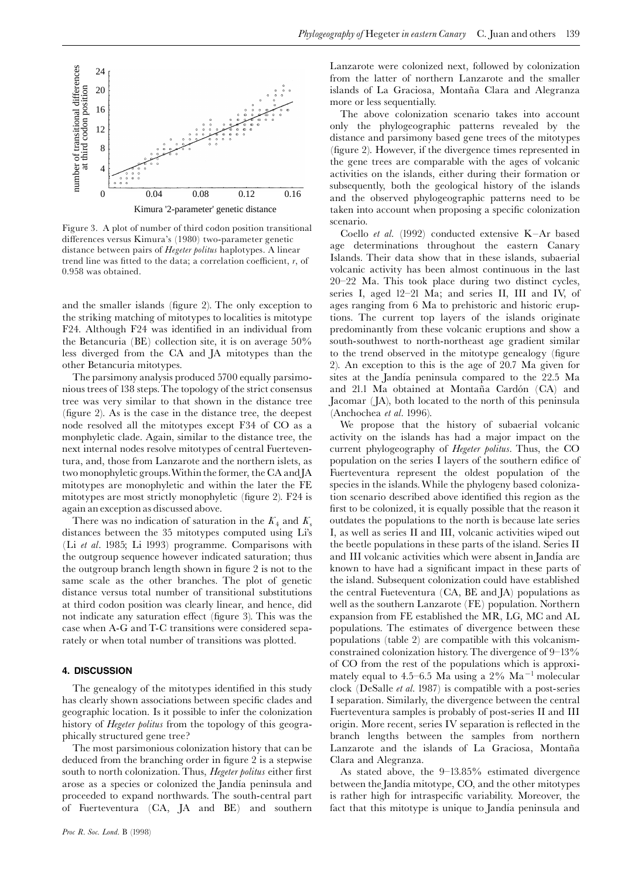

Figure 3. A plot of number of third codon position transitional differences versus Kimura's (1980) two-parameter genetic distance between pairs of *Hegeter politus* haplotypes. A linear trend line was fitted to the data; a correlation coefficient,  $r$ , of 0.958 was obtained.

and the smaller islands (figure 2). The only exception to the striking matching of mitotypes to localities is mitotype F24. Although F24 was identified in an individual from the Betancuria (BE) collection site, it is on average 50% less diverged from the CA and JA mitotypes than the other Betancuria mitotypes.

The parsimony analysis produced 5700 equally parsimonious trees of 138 steps.The topology of the strict consensus tree was very similar to that shown in the distance tree  $(figure 2)$ . As is the case in the distance tree, the deepest node resolved all the mitotypes except F34 of CO as a monphyletic clade. Again, similar to the distance tree, the next internal nodes resolve mitotypes of central Fuerteventura, and, those from Lanzarote and the northern islets, as two monophyletic groups.Within the former, the CA andJA mitotypes are monophyletic and within the later the FE mitotypes are most strictly monophyletic (figure 2).  $F24$  is again an exception as discussed above.

There was no indication of saturation in the  $K_4$  and  $K_5$ distances between the 35 mitotypes computed using Li's (Li et al. 1985; Li 1993) programme. Comparisons with the outgroup sequence however indicated saturation; thus the outgroup branch length shown in figure 2 is not to the same scale as the other branches. The plot of genetic distance versus total number of transitional substitutions at third codon position was clearly linear, and hence, did not indicate any saturation effect (figure 3). This was the case when A-G and T-C transitions were considered separately or when total number of transitions was plotted.

## 4. DISCUSSION

The genealogy of the mitotypes identified in this study has clearly shown associations between specific clades and geographic location. Is it possible to infer the colonization history of *Hegeter politus* from the topology of this geographically structured gene tree?

The most parsimonious colonization history that can be deduced from the branching order in figure 2 is a stepwise south to north colonization. Thus, Hegeter politus either first arose as a species or colonized the Jandía peninsula and proceeded to expand northwards. The south-central part of Fuerteventura (CA, JA and BE) and southern Lanzarote were colonized next, followed by colonization from the latter of northern Lanzarote and the smaller islands of La Graciosa, Montaña Clara and Alegranza more or less sequentially.

The above colonization scenario takes into account only the phylogeographic patterns revealed by the distance and parsimony based gene trees of the mitotypes (figure 2). However, if the divergence times represented in the gene trees are comparable with the ages of volcanic activities on the islands, either during their formation or subsequently, both the geological history of the islands and the observed phylogeographic patterns need to be taken into account when proposing a specific colonization scenario.

Coello et al. (1992) conducted extensive  $K-Ar$  based age determinations throughout the eastern Canary Islands. Their data show that in these islands, subaerial volcanic activity has been almost continuous in the last  $20-22$  Ma. This took place during two distinct cycles, series I, aged 12-21 Ma; and series II, III and IV, of ages ranging from 6 Ma to prehistoric and historic eruptions. The current top layers of the islands originate predominantly from these volcanic eruptions and show a south-southwest to north-northeast age gradient similar to the trend observed in the mitotype genealogy (figure 2). An exception to this is the age of 20.7 Ma given for sites at the Jandía peninsula compared to the 22.5 Ma and 21.1 Ma obtained at Montaña Cardón (CA) and Jacomar (JA), both located to the north of this peninsula (Anchochea et al. 1996).

We propose that the history of subaerial volcanic activity on the islands has had a major impact on the current phylogeography of Hegeter politus. Thus, the CO population on the series I layers of the southern edifice of Fuerteventura represent the oldest population of the species in the islands.While the phylogeny based colonization scenario described above identified this region as the first to be colonized, it is equally possible that the reason it outdates the populations to the north is because late series I, as well as series II and III, volcanic activities wiped out the beetle populations in these parts of the island. Series II and III volcanic activities which were absent in Jandía are known to have had a significant impact in these parts of the island. Subsequent colonization could have established the central Fueteventura (CA, BE and JA) populations as well as the southern Lanzarote (FE) population. Northern expansion from FE established the MR, LG, MC and AL populations. The estimates of divergence between these populations (table 2) are compatible with this volcanismconstrained colonization history. The divergence of  $9-13\%$ of CO from the rest of the populations which is approximately equal to 4.5–6.5 Ma using a  $2\%$  Ma<sup>-1</sup> molecular clock (DeSalle et al. 1987) is compatible with a post-series I separation. Similarly, the divergence between the central Fuerteventura samples is probably of post-series II and III origin. More recent, series IV separation is reflected in the branch lengths between the samples from northern Lanzarote and the islands of La Graciosa, Montaña Clara and Alegranza.

As stated above, the  $9-13.85\%$  estimated divergence between the Jandía mitotype, CO, and the other mitotypes is rather high for intraspecific variability. Moreover, the fact that this mitotype is unique to Jandía peninsula and